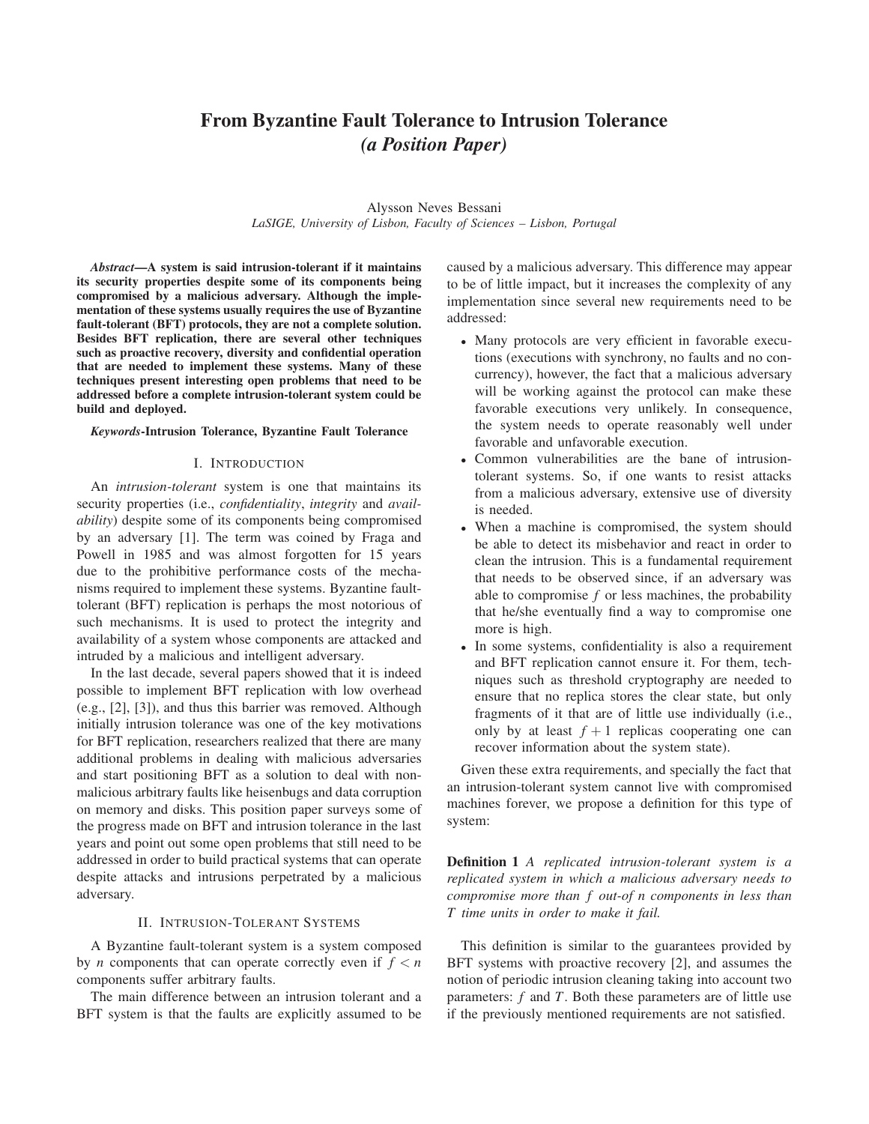# **From Byzantine Fault Tolerance to Intrusion Tolerance** *(a Position Paper)*

Alysson Neves Bessani *LaSIGE, University of Lisbon, Faculty of Sciences – Lisbon, Portugal*

*Abstract***—A system is said intrusion-tolerant if it maintains its security properties despite some of its components being compromised by a malicious adversary. Although the implementation of these systems usually requires the use of Byzantine fault-tolerant (BFT) protocols, they are not a complete solution. Besides BFT replication, there are several other techniques such as proactive recovery, diversity and confidential operation that are needed to implement these systems. Many of these techniques present interesting open problems that need to be addressed before a complete intrusion-tolerant system could be build and deployed.**

#### *Keywords***-Intrusion Tolerance, Byzantine Fault Tolerance**

#### I. INTRODUCTION

An *intrusion-tolerant* system is one that maintains its security properties (i.e., *confidentiality*, *integrity* and *availability*) despite some of its components being compromised by an adversary [1]. The term was coined by Fraga and Powell in 1985 and was almost forgotten for 15 years due to the prohibitive performance costs of the mechanisms required to implement these systems. Byzantine faulttolerant (BFT) replication is perhaps the most notorious of such mechanisms. It is used to protect the integrity and availability of a system whose components are attacked and intruded by a malicious and intelligent adversary.

In the last decade, several papers showed that it is indeed possible to implement BFT replication with low overhead (e.g., [2], [3]), and thus this barrier was removed. Although initially intrusion tolerance was one of the key motivations for BFT replication, researchers realized that there are many additional problems in dealing with malicious adversaries and start positioning BFT as a solution to deal with nonmalicious arbitrary faults like heisenbugs and data corruption on memory and disks. This position paper surveys some of the progress made on BFT and intrusion tolerance in the last years and point out some open problems that still need to be addressed in order to build practical systems that can operate despite attacks and intrusions perpetrated by a malicious adversary.

## II. INTRUSION-TOLERANT SYSTEMS

A Byzantine fault-tolerant system is a system composed by *n* components that can operate correctly even if  $f < n$ components suffer arbitrary faults.

The main difference between an intrusion tolerant and a BFT system is that the faults are explicitly assumed to be caused by a malicious adversary. This difference may appear to be of little impact, but it increases the complexity of any implementation since several new requirements need to be addressed:

- *•* Many protocols are very efficient in favorable executions (executions with synchrony, no faults and no concurrency), however, the fact that a malicious adversary will be working against the protocol can make these favorable executions very unlikely. In consequence, the system needs to operate reasonably well under favorable and unfavorable execution.
- *•* Common vulnerabilities are the bane of intrusiontolerant systems. So, if one wants to resist attacks from a malicious adversary, extensive use of diversity is needed.
- When a machine is compromised, the system should be able to detect its misbehavior and react in order to clean the intrusion. This is a fundamental requirement that needs to be observed since, if an adversary was able to compromise *f* or less machines, the probability that he/she eventually find a way to compromise one more is high.
- *•* In some systems, confidentiality is also a requirement and BFT replication cannot ensure it. For them, techniques such as threshold cryptography are needed to ensure that no replica stores the clear state, but only fragments of it that are of little use individually (i.e., only by at least  $f + 1$  replicas cooperating one can recover information about the system state).

Given these extra requirements, and specially the fact that an intrusion-tolerant system cannot live with compromised machines forever, we propose a definition for this type of system:

**Definition 1** *A replicated intrusion-tolerant system is a replicated system in which a malicious adversary needs to compromise more than f out-of n components in less than T time units in order to make it fail.*

This definition is similar to the guarantees provided by BFT systems with proactive recovery [2], and assumes the notion of periodic intrusion cleaning taking into account two parameters: *f* and *T*. Both these parameters are of little use if the previously mentioned requirements are not satisfied.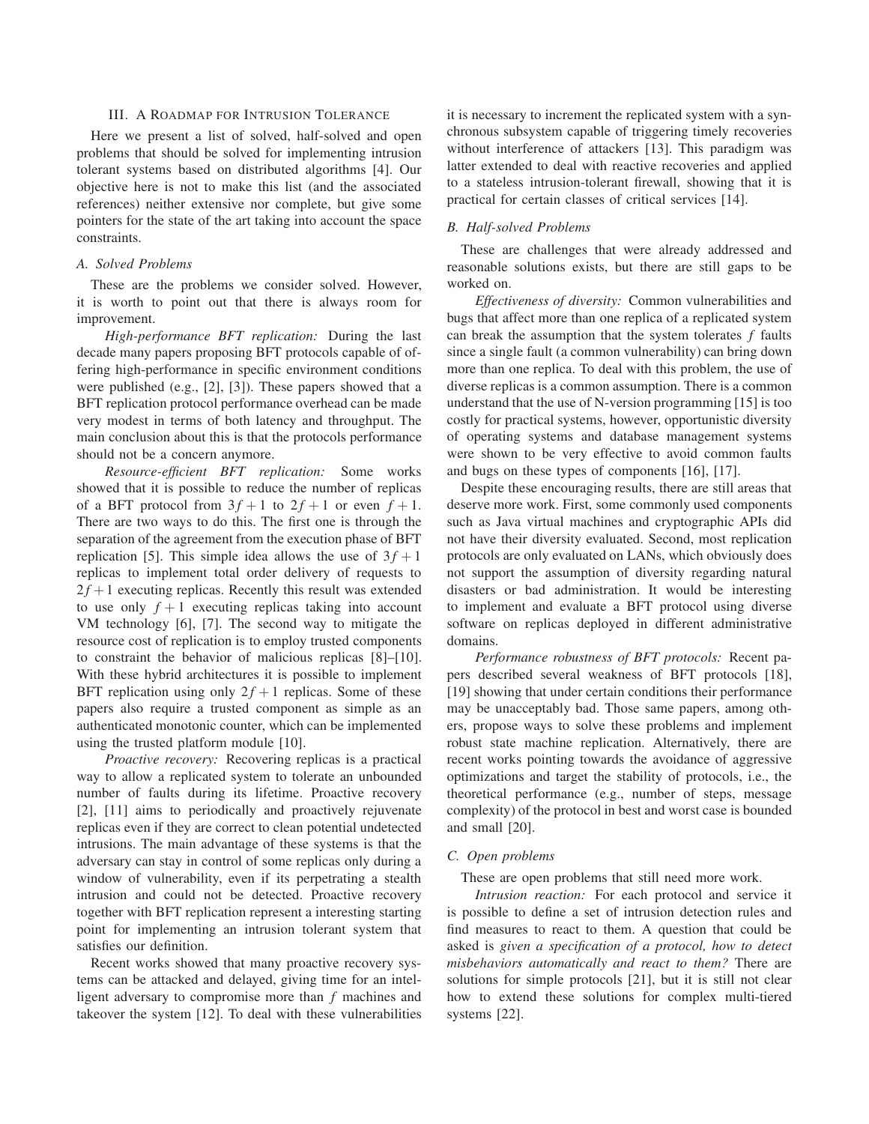## III. A ROADMAP FOR INTRUSION TOLERANCE

Here we present a list of solved, half-solved and open problems that should be solved for implementing intrusion tolerant systems based on distributed algorithms [4]. Our objective here is not to make this list (and the associated references) neither extensive nor complete, but give some pointers for the state of the art taking into account the space constraints.

## *A. Solved Problems*

These are the problems we consider solved. However, it is worth to point out that there is always room for improvement.

*High-performance BFT replication:* During the last decade many papers proposing BFT protocols capable of offering high-performance in specific environment conditions were published (e.g., [2], [3]). These papers showed that a BFT replication protocol performance overhead can be made very modest in terms of both latency and throughput. The main conclusion about this is that the protocols performance should not be a concern anymore.

*Resource-efficient BFT replication:* Some works showed that it is possible to reduce the number of replicas of a BFT protocol from  $3f + 1$  to  $2f + 1$  or even  $f + 1$ . There are two ways to do this. The first one is through the separation of the agreement from the execution phase of BFT replication [5]. This simple idea allows the use of  $3f + 1$ replicas to implement total order delivery of requests to  $2f + 1$  executing replicas. Recently this result was extended to use only  $f + 1$  executing replicas taking into account VM technology [6], [7]. The second way to mitigate the resource cost of replication is to employ trusted components to constraint the behavior of malicious replicas [8]–[10]. With these hybrid architectures it is possible to implement BFT replication using only  $2f + 1$  replicas. Some of these papers also require a trusted component as simple as an authenticated monotonic counter, which can be implemented using the trusted platform module [10].

*Proactive recovery:* Recovering replicas is a practical way to allow a replicated system to tolerate an unbounded number of faults during its lifetime. Proactive recovery [2], [11] aims to periodically and proactively rejuvenate replicas even if they are correct to clean potential undetected intrusions. The main advantage of these systems is that the adversary can stay in control of some replicas only during a window of vulnerability, even if its perpetrating a stealth intrusion and could not be detected. Proactive recovery together with BFT replication represent a interesting starting point for implementing an intrusion tolerant system that satisfies our definition.

Recent works showed that many proactive recovery systems can be attacked and delayed, giving time for an intelligent adversary to compromise more than *f* machines and takeover the system [12]. To deal with these vulnerabilities it is necessary to increment the replicated system with a synchronous subsystem capable of triggering timely recoveries without interference of attackers [13]. This paradigm was latter extended to deal with reactive recoveries and applied to a stateless intrusion-tolerant firewall, showing that it is practical for certain classes of critical services [14].

#### *B. Half-solved Problems*

These are challenges that were already addressed and reasonable solutions exists, but there are still gaps to be worked on.

*Effectiveness of diversity:* Common vulnerabilities and bugs that affect more than one replica of a replicated system can break the assumption that the system tolerates *f* faults since a single fault (a common vulnerability) can bring down more than one replica. To deal with this problem, the use of diverse replicas is a common assumption. There is a common understand that the use of N-version programming [15] is too costly for practical systems, however, opportunistic diversity of operating systems and database management systems were shown to be very effective to avoid common faults and bugs on these types of components [16], [17].

Despite these encouraging results, there are still areas that deserve more work. First, some commonly used components such as Java virtual machines and cryptographic APIs did not have their diversity evaluated. Second, most replication protocols are only evaluated on LANs, which obviously does not support the assumption of diversity regarding natural disasters or bad administration. It would be interesting to implement and evaluate a BFT protocol using diverse software on replicas deployed in different administrative domains.

*Performance robustness of BFT protocols:* Recent papers described several weakness of BFT protocols [18], [19] showing that under certain conditions their performance may be unacceptably bad. Those same papers, among others, propose ways to solve these problems and implement robust state machine replication. Alternatively, there are recent works pointing towards the avoidance of aggressive optimizations and target the stability of protocols, i.e., the theoretical performance (e.g., number of steps, message complexity) of the protocol in best and worst case is bounded and small [20].

#### *C. Open problems*

These are open problems that still need more work.

*Intrusion reaction:* For each protocol and service it is possible to define a set of intrusion detection rules and find measures to react to them. A question that could be asked is *given a specification of a protocol, how to detect misbehaviors automatically and react to them?* There are solutions for simple protocols [21], but it is still not clear how to extend these solutions for complex multi-tiered systems [22].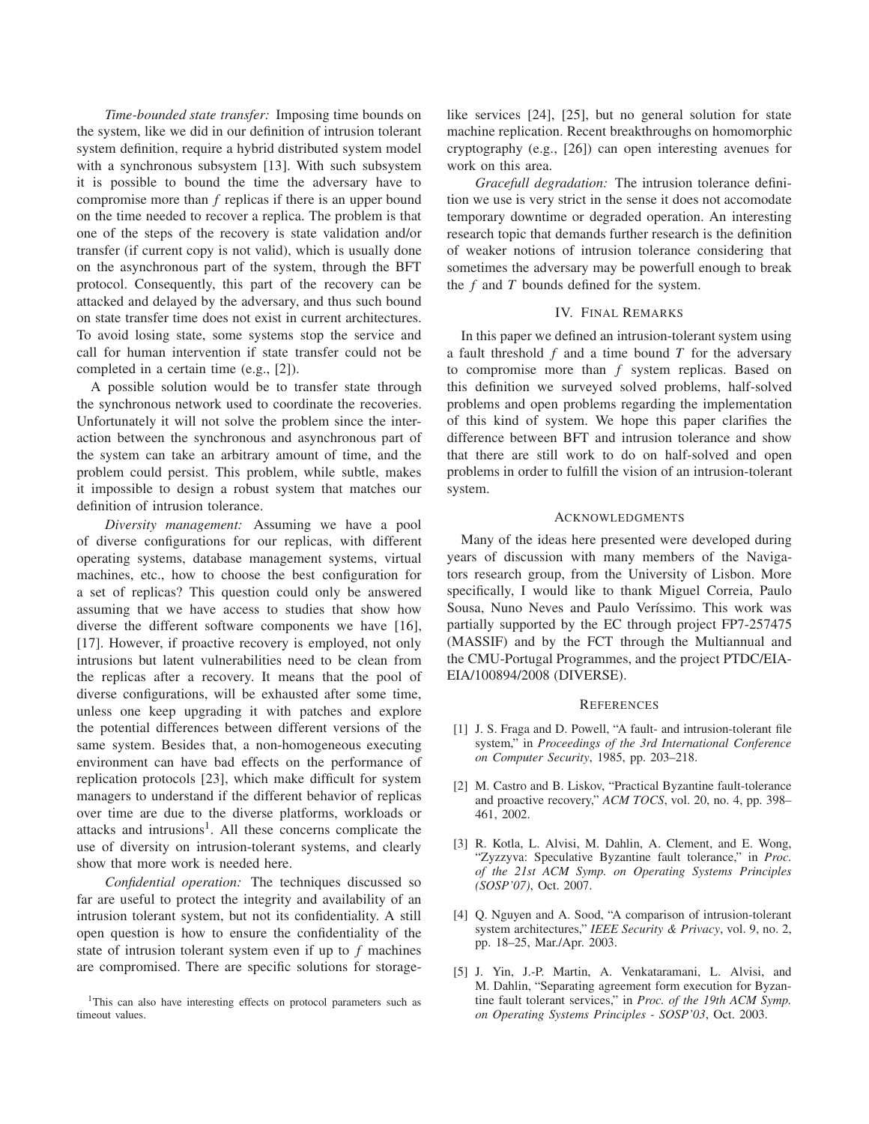*Time-bounded state transfer:* Imposing time bounds on the system, like we did in our definition of intrusion tolerant system definition, require a hybrid distributed system model with a synchronous subsystem [13]. With such subsystem it is possible to bound the time the adversary have to compromise more than *f* replicas if there is an upper bound on the time needed to recover a replica. The problem is that one of the steps of the recovery is state validation and/or transfer (if current copy is not valid), which is usually done on the asynchronous part of the system, through the BFT protocol. Consequently, this part of the recovery can be attacked and delayed by the adversary, and thus such bound on state transfer time does not exist in current architectures. To avoid losing state, some systems stop the service and call for human intervention if state transfer could not be completed in a certain time (e.g., [2]).

A possible solution would be to transfer state through the synchronous network used to coordinate the recoveries. Unfortunately it will not solve the problem since the interaction between the synchronous and asynchronous part of the system can take an arbitrary amount of time, and the problem could persist. This problem, while subtle, makes it impossible to design a robust system that matches our definition of intrusion tolerance.

*Diversity management:* Assuming we have a pool of diverse configurations for our replicas, with different operating systems, database management systems, virtual machines, etc., how to choose the best configuration for a set of replicas? This question could only be answered assuming that we have access to studies that show how diverse the different software components we have [16], [17]. However, if proactive recovery is employed, not only intrusions but latent vulnerabilities need to be clean from the replicas after a recovery. It means that the pool of diverse configurations, will be exhausted after some time, unless one keep upgrading it with patches and explore the potential differences between different versions of the same system. Besides that, a non-homogeneous executing environment can have bad effects on the performance of replication protocols [23], which make difficult for system managers to understand if the different behavior of replicas over time are due to the diverse platforms, workloads or attacks and intrusions<sup>1</sup>. All these concerns complicate the use of diversity on intrusion-tolerant systems, and clearly show that more work is needed here.

*Confidential operation:* The techniques discussed so far are useful to protect the integrity and availability of an intrusion tolerant system, but not its confidentiality. A still open question is how to ensure the confidentiality of the state of intrusion tolerant system even if up to *f* machines are compromised. There are specific solutions for storagelike services [24], [25], but no general solution for state machine replication. Recent breakthroughs on homomorphic cryptography (e.g., [26]) can open interesting avenues for work on this area.

*Gracefull degradation:* The intrusion tolerance definition we use is very strict in the sense it does not accomodate temporary downtime or degraded operation. An interesting research topic that demands further research is the definition of weaker notions of intrusion tolerance considering that sometimes the adversary may be powerfull enough to break the *f* and *T* bounds defined for the system.

## IV. FINAL REMARKS

In this paper we defined an intrusion-tolerant system using a fault threshold *f* and a time bound *T* for the adversary to compromise more than *f* system replicas. Based on this definition we surveyed solved problems, half-solved problems and open problems regarding the implementation of this kind of system. We hope this paper clarifies the difference between BFT and intrusion tolerance and show that there are still work to do on half-solved and open problems in order to fulfill the vision of an intrusion-tolerant system.

## ACKNOWLEDGMENTS

Many of the ideas here presented were developed during years of discussion with many members of the Navigators research group, from the University of Lisbon. More specifically, I would like to thank Miguel Correia, Paulo Sousa, Nuno Neves and Paulo Veríssimo. This work was partially supported by the EC through project FP7-257475 (MASSIF) and by the FCT through the Multiannual and the CMU-Portugal Programmes, and the project PTDC/EIA-EIA/100894/2008 (DIVERSE).

### **REFERENCES**

- [1] J. S. Fraga and D. Powell, "A fault- and intrusion-tolerant file system," in *Proceedings of the 3rd International Conference on Computer Security*, 1985, pp. 203–218.
- [2] M. Castro and B. Liskov, "Practical Byzantine fault-tolerance and proactive recovery," *ACM TOCS*, vol. 20, no. 4, pp. 398– 461, 2002.
- [3] R. Kotla, L. Alvisi, M. Dahlin, A. Clement, and E. Wong, "Zyzzyva: Speculative Byzantine fault tolerance," in *Proc. of the 21st ACM Symp. on Operating Systems Principles (SOSP'07)*, Oct. 2007.
- [4] Q. Nguyen and A. Sood, "A comparison of intrusion-tolerant system architectures," *IEEE Security & Privacy*, vol. 9, no. 2, pp. 18–25, Mar./Apr. 2003.
- [5] J. Yin, J.-P. Martin, A. Venkataramani, L. Alvisi, and M. Dahlin, "Separating agreement form execution for Byzantine fault tolerant services," in *Proc. of the 19th ACM Symp. on Operating Systems Principles - SOSP'03*, Oct. 2003.

<sup>&</sup>lt;sup>1</sup>This can also have interesting effects on protocol parameters such as timeout values.